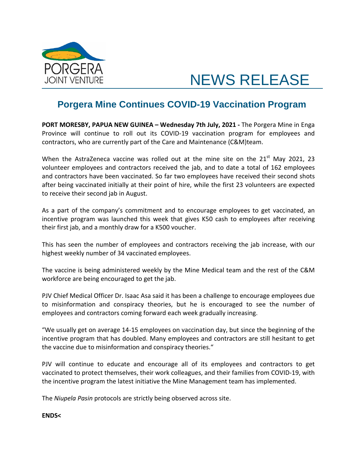

## NEWS RELEASE

## **Porgera Mine Continues COVID-19 Vaccination Program**

**PORT MORESBY, PAPUA NEW GUINEA – Wednesday 7th July, 2021 -** The Porgera Mine in Enga Province will continue to roll out its COVID-19 vaccination program for employees and contractors, who are currently part of the Care and Maintenance (C&M)team.

When the AstraZeneca vaccine was rolled out at the mine site on the  $21<sup>st</sup>$  May 2021, 23 volunteer employees and contractors received the jab, and to date a total of 162 employees and contractors have been vaccinated. So far two employees have received their second shots after being vaccinated initially at their point of hire, while the first 23 volunteers are expected to receive their second jab in August.

As a part of the company's commitment and to encourage employees to get vaccinated, an incentive program was launched this week that gives K50 cash to employees after receiving their first jab, and a monthly draw for a K500 voucher.

This has seen the number of employees and contractors receiving the jab increase, with our highest weekly number of 34 vaccinated employees.

The vaccine is being administered weekly by the Mine Medical team and the rest of the C&M workforce are being encouraged to get the jab.

PJV Chief Medical Officer Dr. Isaac Asa said it has been a challenge to encourage employees due to misinformation and conspiracy theories, but he is encouraged to see the number of employees and contractors coming forward each week gradually increasing.

"We usually get on average 14-15 employees on vaccination day, but since the beginning of the incentive program that has doubled. Many employees and contractors are still hesitant to get the vaccine due to misinformation and conspiracy theories."

PJV will continue to educate and encourage all of its employees and contractors to get vaccinated to protect themselves, their work colleagues, and their families from COVID-19, with the incentive program the latest initiative the Mine Management team has implemented.

The *Niupela Pasin* protocols are strictly being observed across site.

## **ENDS<**